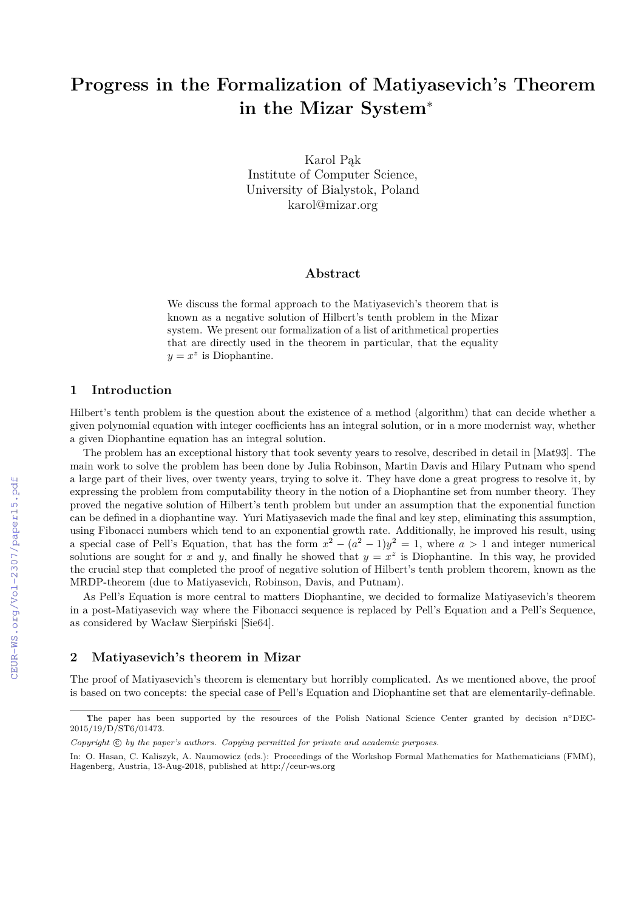# **Progress in the Formalization of Matiyasevich's Theorem in the Mizar System**<sup>∗</sup>

Karol Pąk Institute of Computer Science, University of Bialystok, Poland karol@mizar.org

### **Abstract**

We discuss the formal approach to the Matiyasevich's theorem that is known as a negative solution of Hilbert's tenth problem in the Mizar system. We present our formalization of a list of arithmetical properties that are directly used in the theorem in particular, that the equality  $y = x^z$  is Diophantine.

## **1 Introduction**

Hilbert's tenth problem is the question about the existence of a method (algorithm) that can decide whether a given polynomial equation with integer coefficients has an integral solution, or in a more modernist way, whether a given Diophantine equation has an integral solution.

The problem has an exceptional history that took seventy years to resolve, described in detail in [Mat93]. The main work to solve the problem has been done by Julia Robinson, Martin Davis and Hilary Putnam who spend a large part of their lives, over twenty years, trying to solve it. They have done a great progress to resolve it, by expressing the problem from computability theory in the notion of a Diophantine set from number theory. They proved the negative solution of Hilbert's tenth problem but under an assumption that the exponential function can be defined in a diophantine way. Yuri Matiyasevich made the final and key step, eliminating this assumption, using Fibonacci numbers which tend to an exponential growth rate. Additionally, he improved his result, using a special case of Pell's Equation, that has the form  $x^2 - (a^2 - 1)y^2 = 1$ , where  $a > 1$  and integer numerical solutions are sought for *x* and *y*, and finally he showed that  $y = x^z$  is Diophantine. In this way, he provided the crucial step that completed the proof of negative solution of Hilbert's tenth problem theorem, known as the MRDP-theorem (due to Matiyasevich, Robinson, Davis, and Putnam).

As Pell's Equation is more central to matters Diophantine, we decided to formalize Matiyasevich's theorem in a post-Matiyasevich way where the Fibonacci sequence is replaced by Pell's Equation and a Pell's Sequence, as considered by Wacław Sierpiński [Sie64].

## **2 Matiyasevich's theorem in Mizar**

The proof of Matiyasevich's theorem is elementary but horribly complicated. As we mentioned above, the proof is based on two concepts: the special case of Pell's Equation and Diophantine set that are elementarily-definable.

<sup>∗</sup>The paper has been supported by the resources of the Polish National Science Center granted by decision n◦DEC-2015/19/D/ST6/01473.

Copyright  $\odot$  by the paper's authors. Copying permitted for private and academic purposes.

In: O. Hasan, C. Kaliszyk, A. Naumowicz (eds.): Proceedings of the Workshop Formal Mathematics for Mathematicians (FMM), Hagenberg, Austria, 13-Aug-2018, published at http://ceur-ws.org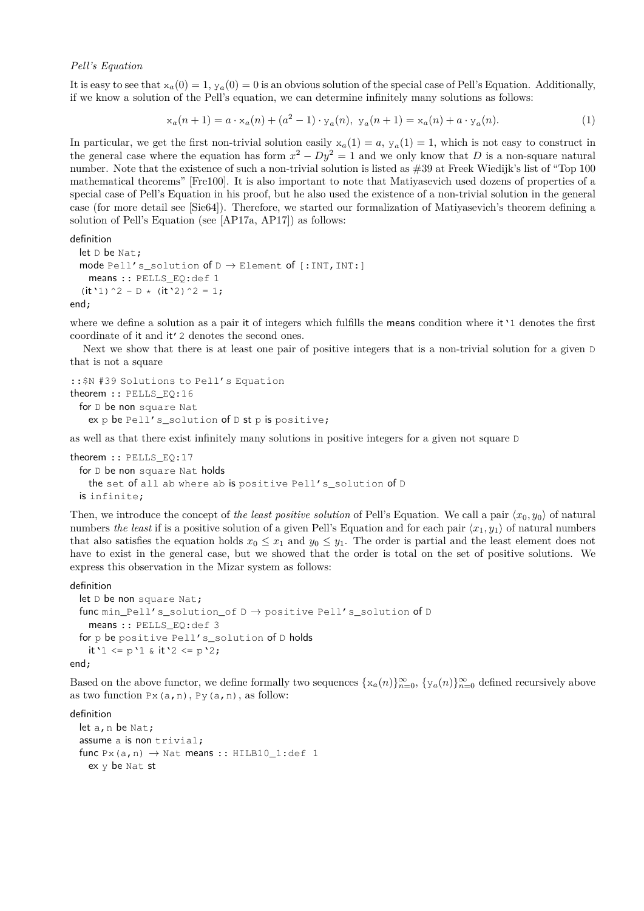#### *Pell's Equation*

It is easy to see that  $x_a(0) = 1$ ,  $y_a(0) = 0$  is an obvious solution of the special case of Pell's Equation. Additionally, if we know a solution of the Pell's equation, we can determine infinitely many solutions as follows:

$$
x_a(n+1) = a \cdot x_a(n) + (a^2 - 1) \cdot y_a(n), \ y_a(n+1) = x_a(n) + a \cdot y_a(n). \tag{1}
$$

In particular, we get the first non-trivial solution easily  $x_a(1) = a$ ,  $y_a(1) = 1$ , which is not easy to construct in the general case where the equation has form  $x^2 - Dy^2 = 1$  and we only know that *D* is a non-square natural number. Note that the existence of such a non-trivial solution is listed as #39 at Freek Wiedijk's list of "Top 100 mathematical theorems" [Fre100]. It is also important to note that Matiyasevich used dozens of properties of a special case of Pell's Equation in his proof, but he also used the existence of a non-trivial solution in the general case (for more detail see [Sie64]). Therefore, we started our formalization of Matiyasevich's theorem defining a solution of Pell's Equation (see [AP17a, AP17]) as follows:

definition

```
let D be Nat;
mode Pell's_solution of D \to Element of [:INT, INT:]
 means :: PELLS_EQ:def 1
(it'1)^2 - D * (it'2)^2 = 1;
```
end;

where we define a solution as a pair it of integers which fulfills the means condition where it '1 denotes the first coordinate of it and it'2 denotes the second ones.

Next we show that there is at least one pair of positive integers that is a non-trivial solution for a given D that is not a square

```
::$N #39 Solutions to Pell's Equation
theorem :: PELLS_EQ:16
 for D be non square Nat
   ex p be Pell's_solution of D st p is positive;
```
as well as that there exist infinitely many solutions in positive integers for a given not square D

```
theorem :: PELLS EQ:17
 for D be non square Nat holds
   the set of all ab where ab is positive Pell's_solution of D
 is infinite;
```
Then, we introduce the concept of *the least positive solution* of Pell's Equation. We call a pair  $\langle x_0, y_0 \rangle$  of natural numbers *the least* if is a positive solution of a given Pell's Equation and for each pair  $\langle x_1, y_1 \rangle$  of natural numbers that also satisfies the equation holds  $x_0 \leq x_1$  and  $y_0 \leq y_1$ . The order is partial and the least element does not have to exist in the general case, but we showed that the order is total on the set of positive solutions. We express this observation in the Mizar system as follows:

#### definition

```
let D be non square Nat;
 func min_Pell's_solution_of D \rightarrow positive Pell's_solution of D
   means :: PELLS_EQ:def 3
 for p be positive Pell's_solution of D holds
   it'1 <= p'1 & it'2 <= p'2;
end;
```
Based on the above functor, we define formally two sequences  $\{x_a(n)\}_{n=0}^{\infty}$ ,  $\{y_a(n)\}_{n=0}^{\infty}$  defined recursively above as two function  $Px(a,n)$ ,  $Py(a,n)$ , as follow:

definition

```
let a, n be Nat;
assume a is non trivial;
func Px(a,n) \rightarrow Nat means :: HILB10_1:def 1
  ex y be Nat st
```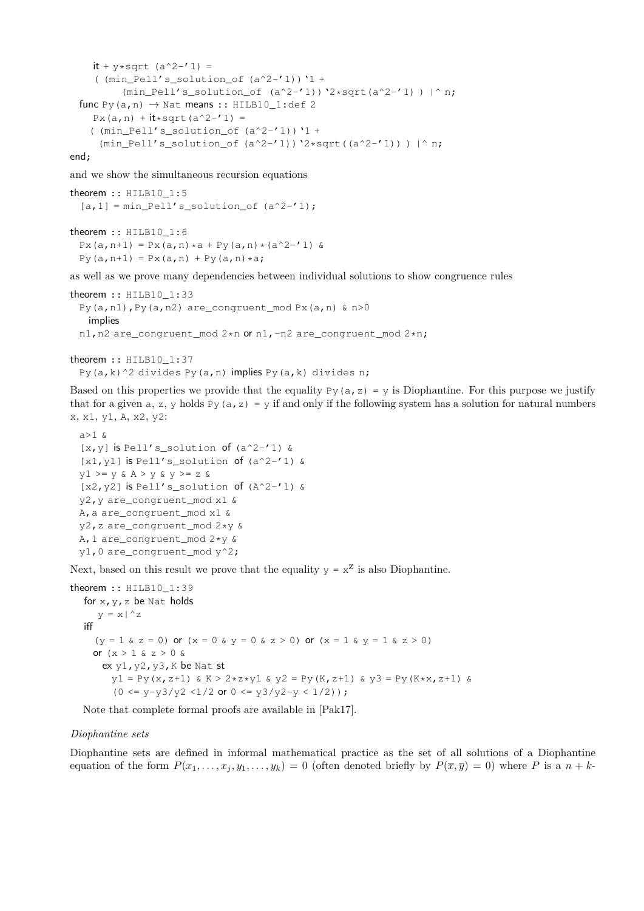```
it + y*sqrt (a^2-'1) =
  ( (min Pell's solution of (a^2-1)) '1 +
       (min Pell's solution of (a^2-'1)) '2*sqrt(a^2-'1) ) |^ n;
func Py(a, n) \rightarrow Nat means :: HILB10_1:def 2
  Px(a, n) + it * sqrt(a^2 - '1) =( (min Pell's solution of (a^2-1)) '1 +
   (min_Pell's_solution_of (a^2-1))'2*sqrt((a^2-1))) |^ n;
```
end;

and we show the simultaneous recursion equations

```
theorem :: HILB10_1:5
  [a,1] = min\_Pell's\_solution\_of (a^2-1);theorem :: HILB10 1:6
 Px(a, n+1) = Px(a, n) * a + Py(a, n) * (a^2 - '1) &
 Py(a, n+1) = Px(a, n) + Py(a, n) *a;
```
as well as we prove many dependencies between individual solutions to show congruence rules

```
theorem :: HILB10_1:33
 Py(a,n1),Py(a,n2) are_congruent_mod Px(a,n) & n>0
   implies
 n1,n2 are_congruent_mod 2*n or n1,-n2 are_congruent_mod 2*n;
```

```
theorem :: HILB10_1:37
 Py(a,k)^2 divides Py(a,n) implies Py(a,k) divides n;
```
Based on this properties we provide that the equality  $Py(a, z) = y$  is Diophantine. For this purpose we justify that for a given a, z, y holds Py(a,z) = y if and only if the following system has a solution for natural numbers x, x1, y1, A, x2, y2:

```
a>1 &
[x, y] is Pell's_solution of (a^2-1) &
[x1, y1] is Pell's_solution of (a^2-1) &
y1 >= y & A > y & y >= z &
[x2, y2] is Pell's_solution of (A^2-1) &
y2,y are_congruent_mod x1 &
A,a are_congruent_mod x1 &
y2,z are_congruent_mod 2*y &
A,1 are_congruent_mod 2*y &
y1,0 are_congruent_mod y^2;
```
Next, based on this result we prove that the equality  $y = x^2$  is also Diophantine.

```
theorem :: HILB10_1:39
   for x, y, z be Nat holds
     y = x \mid^{\wedge} ziff
     (y = 1 \& z = 0) or (x = 0 \& y = 0 \& z > 0) or (x = 1 \& y = 1 \& z > 0)or (x > 1 \& z > 0 \&ex y1, y2, y3, K be Nat st
         y1 = Py(x, z+1) & K > 2*z*y1 & y2 = Py(K, z+1) & y3 = Py(K*x, z+1) &
         (0 \le y-y3/y2 \le 1/2 \text{ or } 0 \le y3/y2-y \le 1/2) ;
```
Note that complete formal proofs are available in [Pak17].

## *Diophantine sets*

Diophantine sets are defined in informal mathematical practice as the set of all solutions of a Diophantine equation of the form  $P(x_1, \ldots, x_j, y_1, \ldots, y_k) = 0$  (often denoted briefly by  $P(\bar{x}, \bar{y}) = 0$ ) where P is a  $n + k$ -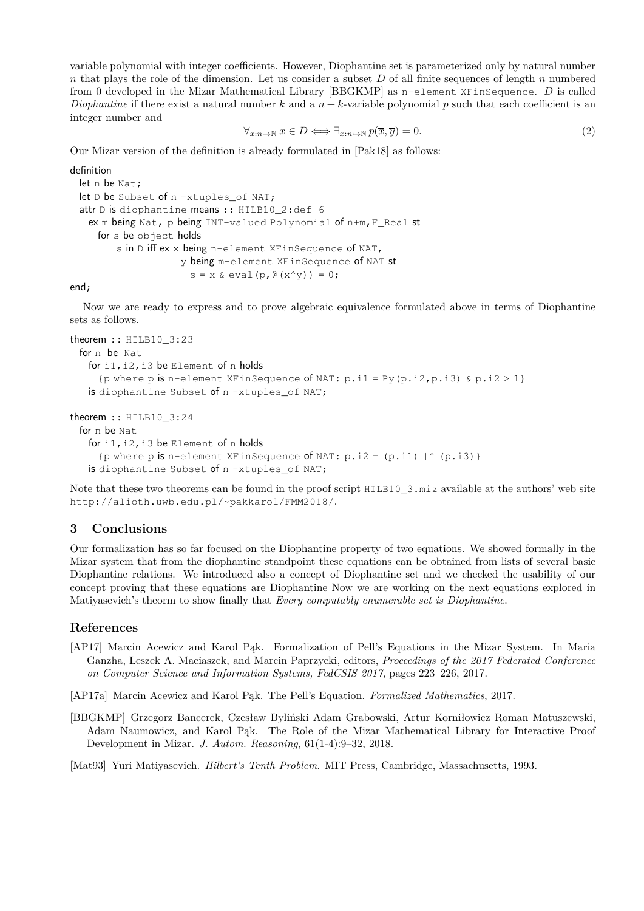variable polynomial with integer coefficients. However, Diophantine set is parameterized only by natural number *n* that plays the role of the dimension. Let us consider a subset *D* of all finite sequences of length *n* numbered from 0 developed in the Mizar Mathematical Library [BBGKMP] as n-element XFinSequence. *D* is called *Diophantine* if there exist a natural number  $k$  and a  $n + k$ -variable polynomial  $p$  such that each coefficient is an integer number and

$$
\forall_{x:n\mapsto\mathbb{N}}\ x\in D\Longleftrightarrow\exists_{x:n\mapsto\mathbb{N}}\ p(\overline{x},\overline{y})=0.\tag{2}
$$

Our Mizar version of the definition is already formulated in [Pak18] as follows:

```
definition
```

```
let n be Nat;
let D be Subset of n-xtuples_of NAT;
attr D is diophantine means :: HILB10 2:def 6
 ex m being Nat, p being INT-valued Polynomial of n+m,F_Real st
   for s be object holds
       s in D iff ex x being n-element XFinSequence of NAT,
                   y being m-element XFinSequence of NAT st
                     s = x \& eval(p, @(x^y)) = 0;
```
end;

Now we are ready to express and to prove algebraic equivalence formulated above in terms of Diophantine sets as follows.

```
theorem :: HILB10_3:23
 for n be Nat.
   for i1,i2,i3 be Element of n holds
     {p where p is n-element XFinSequence of NAT: p.i1 = Py(p.i2, p.i3) & p.i2 > 1}
   is diophantine Subset of n -xtuples_of NAT;
```

```
theorem :: HILB10_3:24
 for n be Nat
   for i1,i2,i3 be Element of n holds
     {p where p is n-element XFinSequence of NAT: p.i2 = (p.i1) |^ (p.i3)}
   is diophantine Subset of n-xtuples_of NAT;
```
Note that these two theorems can be found in the proof script  $HILB10_3$ .miz available at the authors' web site http://alioth.uwb.edu.pl/~pakkarol/FMM2018/.

## **3 Conclusions**

Our formalization has so far focused on the Diophantine property of two equations. We showed formally in the Mizar system that from the diophantine standpoint these equations can be obtained from lists of several basic Diophantine relations. We introduced also a concept of Diophantine set and we checked the usability of our concept proving that these equations are Diophantine Now we are working on the next equations explored in Matiyasevich's theorm to show finally that *Every computably enumerable set is Diophantine*.

## **References**

- [AP17] Marcin Acewicz and Karol Pąk. Formalization of Pell's Equations in the Mizar System. In Maria Ganzha, Leszek A. Maciaszek, and Marcin Paprzycki, editors, *Proceedings of the 2017 Federated Conference on Computer Science and Information Systems, FedCSIS 2017*, pages 223–226, 2017.
- [AP17a] Marcin Acewicz and Karol Pąk. The Pell's Equation. *Formalized Mathematics*, 2017.
- [BBGKMP] Grzegorz Bancerek, Czesław Byliński Adam Grabowski, Artur Korniłowicz Roman Matuszewski, Adam Naumowicz, and Karol Pąk. The Role of the Mizar Mathematical Library for Interactive Proof Development in Mizar. *J. Autom. Reasoning*, 61(1-4):9–32, 2018.

[Mat93] Yuri Matiyasevich. *Hilbert's Tenth Problem*. MIT Press, Cambridge, Massachusetts, 1993.